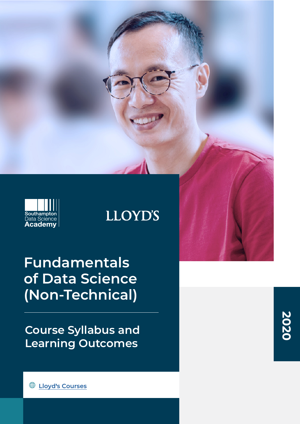

# **LLOYD'S**

**Fundamentals of Data Science (Non-Technical)**

**Course Syllabus and Learning Outcomes**

**2020**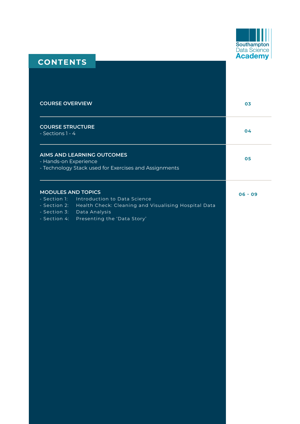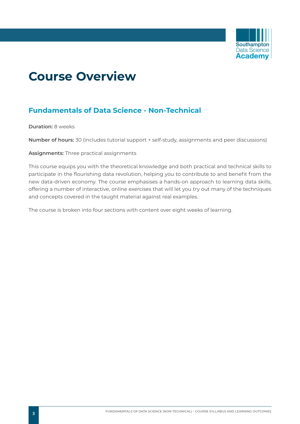

# **Course Overview**

# **Fundamentals of Data Science - Non-Technical**

**Duration:** 8 weeks

**Number of hours:** 30 (includes tutorial support + self-study, assignments and peer discussions)

**Assignments:** Three practical assignments

This course equips you with the theoretical knowledge and both practical and technical skills to participate in the flourishing data revolution, helping you to contribute to and benefit from the new data-driven economy. The course emphasises a hands-on approach to learning data skills, offering a number of interactive, online exercises that will let you try out many of the techniques and concepts covered in the taught material against real examples.

The course is broken into four sections with content over eight weeks of learning.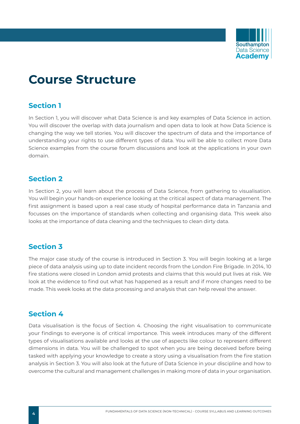

# **Course Structure**

# **Section 1**

In Section 1, you will discover what Data Science is and key examples of Data Science in action. You will discover the overlap with data journalism and open data to look at how Data Science is changing the way we tell stories. You will discover the spectrum of data and the importance of understanding your rights to use different types of data. You will be able to collect more Data Science examples from the course forum discussions and look at the applications in your own domain.

## **Section 2**

In Section 2, you will learn about the process of Data Science, from gathering to visualisation. You will begin your hands-on experience looking at the critical aspect of data management. The first assignment is based upon a real case study of hospital performance data in Tanzania and focusses on the importance of standards when collecting and organising data. This week also looks at the importance of data cleaning and the techniques to clean dirty data.

# **Section 3**

The major case study of the course is introduced in Section 3. You will begin looking at a large piece of data analysis using up to date incident records from the London Fire Brigade. In 2014, 10 fire stations were closed in London amid protests and claims that this would put lives at risk. We look at the evidence to find out what has happened as a result and if more changes need to be made. This week looks at the data processing and analysis that can help reveal the answer.

# **Section 4**

Data visualisation is the focus of Section 4. Choosing the right visualisation to communicate your findings to everyone is of critical importance. This week introduces many of the different types of visualisations available and looks at the use of aspects like colour to represent different dimensions in data. You will be challenged to spot when you are being deceived before being tasked with applying your knowledge to create a story using a visualisation from the fire station analysis in Section 3. You will also look at the future of Data Science in your discipline and how to overcome the cultural and management challenges in making more of data in your organisation.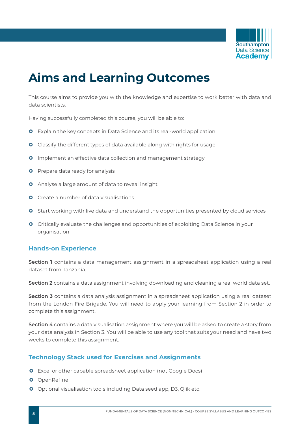

# **Aims and Learning Outcomes**

This course aims to provide you with the knowledge and expertise to work better with data and data scientists.

Having successfully completed this course, you will be able to:

- **O** Explain the key concepts in Data Science and its real-world application
- **O** Classify the different types of data available along with rights for usage
- **O** Implement an effective data collection and management strategy
- **O** Prepare data ready for analysis
- **O** Analyse a large amount of data to reveal insight
- **O** Create a number of data visualisations
- **O** Start working with live data and understand the opportunities presented by cloud services
- **O** Critically evaluate the challenges and opportunities of exploiting Data Science in your organisation

### **Hands-on Experience**

**Section 1** contains a data management assignment in a spreadsheet application using a real dataset from Tanzania.

**Section 2** contains a data assignment involving downloading and cleaning a real world data set.

**Section 3** contains a data analysis assignment in a spreadsheet application using a real dataset from the London Fire Brigade. You will need to apply your learning from Section 2 in order to complete this assignment.

**Section 4** contains a data visualisation assignment where you will be asked to create a story from your data analysis in Section 3. You will be able to use any tool that suits your need and have two weeks to complete this assignment.

### **Technology Stack used for Exercises and Assignments**

- **O** Excel or other capable spreadsheet application (not Google Docs)
- **O** OpenRefine
- **O** Optional visualisation tools including Data seed app, D3, Qlik etc.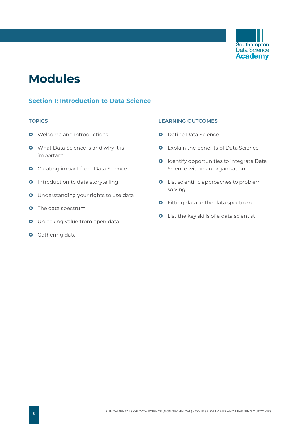

# **Modules**

## **Section 1: Introduction to Data Science**

- **O** Welcome and introductions
- **O** What Data Science is and why it is important
- **O** Creating impact from Data Science
- **0** Introduction to data storytelling
- **O** Understanding your rights to use data
- **O** The data spectrum
- **O** Unlocking value from open data
- **O** Gathering data

### **TOPICS LEARNING OUTCOMES**

- **O** Define Data Science
- **O** Explain the benefits of Data Science
- **O** Identify opportunities to integrate Data Science within an organisation
- **O** List scientific approaches to problem solving
- **O** Fitting data to the data spectrum
- **O** List the key skills of a data scientist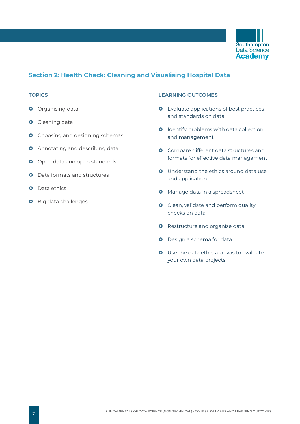

## **Section 2: Health Check: Cleaning and Visualising Hospital Data**

- **O** Organising data
- **O** Cleaning data
- **O** Choosing and designing schemas
- **O** Annotating and describing data
- **O** Open data and open standards
- **O** Data formats and structures
- **O** Data ethics
- **O** Big data challenges

#### **TOPICS LEARNING OUTCOMES**

- **O** Evaluate applications of best practices and standards on data
- **O** Identify problems with data collection and management
- **O** Compare different data structures and formats for effective data management
- **Q** Understand the ethics around data use and application
- **O** Manage data in a spreadsheet
- **O** Clean, validate and perform quality checks on data
- **O** Restructure and organise data
- **O** Design a schema for data
- **O** Use the data ethics canvas to evaluate your own data projects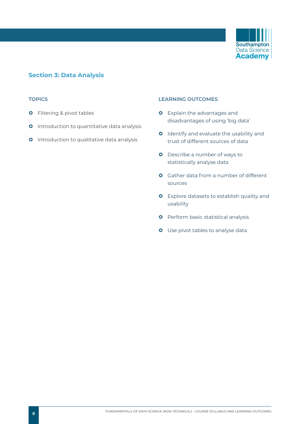

### **Section 3: Data Analysis**

- **O** Filtering & pivot tables
- **O** Introduction to quantitative data analysis
- **O** Introduction to qualitative data analysis

#### **TOPICS LEARNING OUTCOMES**

- **O** Explain the advantages and disadvantages of using 'big data'
- **O** Identify and evaluate the usability and trust of different sources of data
- **O** Describe a number of ways to statistically analyse data
- **O** Gather data from a number of different sources
- **O** Explore datasets to establish quality and usability
- **O** Perform basic statistical analysis
- **O** Use pivot tables to analyse data